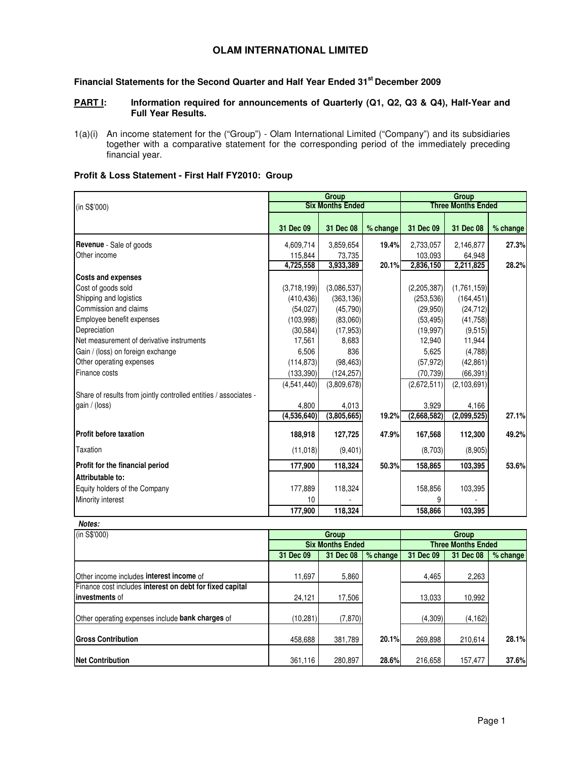# **OLAM INTERNATIONAL LIMITED**

# **Financial Statements for the Second Quarter and Half Year Ended 31st December 2009**

# **PART I:** Information required for announcements of Quarterly (Q1, Q2, Q3 & Q4), Half-Year and **Full Year Results.**

1(a)(i) An income statement for the ("Group") - Olam International Limited ("Company") and its subsidiaries together with a comparative statement for the corresponding period of the immediately preceding financial year.

# **Profit & Loss Statement - First Half FY2010: Group**

|                                                                  |             | <b>Group</b>            |          | Group       |                           |          |  |
|------------------------------------------------------------------|-------------|-------------------------|----------|-------------|---------------------------|----------|--|
| (in S\$'000)                                                     |             | <b>Six Months Ended</b> |          |             | <b>Three Months Ended</b> |          |  |
|                                                                  | 31 Dec 09   | 31 Dec 08               | % change | 31 Dec 09   | 31 Dec 08                 | % change |  |
| <b>Revenue</b> - Sale of goods                                   | 4,609,714   | 3,859,654               | 19.4%    | 2,733,057   | 2,146,877                 | 27.3%    |  |
| Other income                                                     | 115,844     | 73,735                  |          | 103,093     | 64,948                    |          |  |
|                                                                  | 4,725,558   | 3,933,389               | 20.1%    | 2,836,150   | 2,211,825                 | 28.2%    |  |
| <b>Costs and expenses</b>                                        |             |                         |          |             |                           |          |  |
| Cost of goods sold                                               | (3,718,199) | (3,086,537)             |          | (2,205,387) | (1,761,159)               |          |  |
| Shipping and logistics                                           | (410, 436)  | (363, 136)              |          | (253, 536)  | (164, 451)                |          |  |
| Commission and claims                                            | (54, 027)   | (45, 790)               |          | (29,950)    | (24, 712)                 |          |  |
| Employee benefit expenses                                        | (103,998)   | (83,060)                |          | (53, 495)   | (41,758)                  |          |  |
| Depreciation                                                     | (30, 584)   | (17, 953)               |          | (19,997)    | (9,515)                   |          |  |
| Net measurement of derivative instruments                        | 17,561      | 8,683                   |          | 12,940      | 11,944                    |          |  |
| Gain / (loss) on foreign exchange                                | 6,506       | 836                     |          | 5,625       | (4,788)                   |          |  |
| Other operating expenses                                         | (114, 873)  | (98, 463)               |          | (57, 972)   | (42, 861)                 |          |  |
| Finance costs                                                    | (133, 390)  | (124, 257)              |          | (70, 739)   | (66, 391)                 |          |  |
|                                                                  | (4,541,440) | (3,809,678)             |          | (2,672,511) | (2, 103, 691)             |          |  |
| Share of results from jointly controlled entities / associates - |             |                         |          |             |                           |          |  |
| gain / (loss)                                                    | 4,800       | 4,013                   |          | 3,929       | 4,166                     |          |  |
|                                                                  | (4,536,640) | (3,805,665)             | 19.2%    | (2,668,582) | (2,099,525)               | 27.1%    |  |
| <b>Profit before taxation</b>                                    | 188,918     | 127,725                 | 47.9%    | 167,568     | 112,300                   | 49.2%    |  |
| Taxation                                                         | (11, 018)   | (9,401)                 |          | (8,703)     | (8,905)                   |          |  |
| Profit for the financial period                                  | 177,900     | 118,324                 | 50.3%    | 158,865     | 103,395                   | 53.6%    |  |
| Attributable to:                                                 |             |                         |          |             |                           |          |  |
| Equity holders of the Company                                    | 177,889     | 118,324                 |          | 158,856     | 103,395                   |          |  |
| Minority interest                                                | 10          |                         |          | 9           |                           |          |  |
|                                                                  | 177,900     | 118,324                 |          | 158,866     | 103,395                   |          |  |

| (in S\$'000)                                                               |           | Group                   |          |                           | Group     |            |  |  |
|----------------------------------------------------------------------------|-----------|-------------------------|----------|---------------------------|-----------|------------|--|--|
|                                                                            |           | <b>Six Months Ended</b> |          | <b>Three Months Ended</b> |           |            |  |  |
|                                                                            | 31 Dec 09 | 31 Dec 08               | % change | 31 Dec 09                 | 31 Dec 08 | $%$ change |  |  |
| Other income includes <b>interest income</b> of                            | 11,697    | 5,860                   |          | 4,465                     | 2,263     |            |  |  |
| Finance cost includes interest on debt for fixed capital<br>Investments of | 24,121    | 17,506                  |          | 13,033                    | 10,992    |            |  |  |
| Other operating expenses include bank charges of                           | (10, 281) | (7, 870)                |          | (4,309)                   | (4, 162)  |            |  |  |
| <b>Gross Contribution</b>                                                  | 458,688   | 381,789                 | 20.1%    | 269.898                   | 210.614   | 28.1%      |  |  |
| Net Contribution                                                           | 361,116   | 280,897                 | 28.6%    | 216,658                   | 157.477   | 37.6%      |  |  |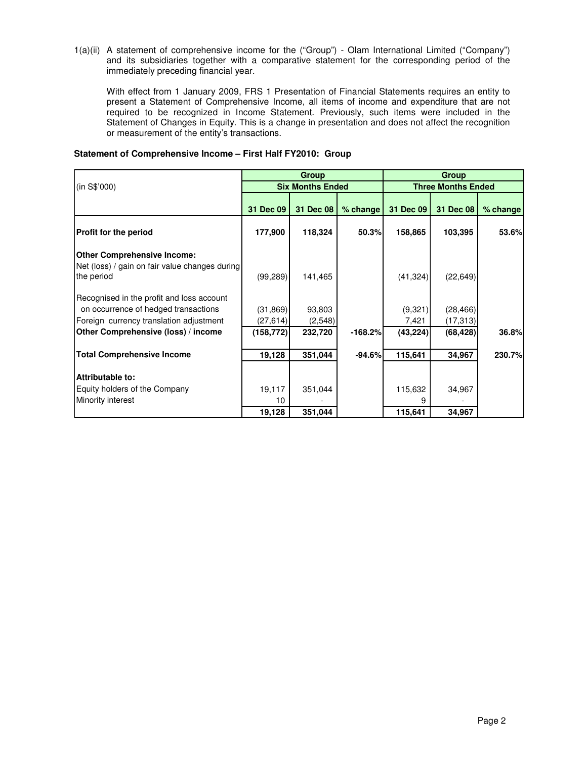1(a)(ii) A statement of comprehensive income for the ("Group") - Olam International Limited ("Company") and its subsidiaries together with a comparative statement for the corresponding period of the immediately preceding financial year.

With effect from 1 January 2009, FRS 1 Presentation of Financial Statements requires an entity to present a Statement of Comprehensive Income, all items of income and expenditure that are not required to be recognized in Income Statement. Previously, such items were included in the Statement of Changes in Equity. This is a change in presentation and does not affect the recognition or measurement of the entity's transactions.

|                                                |            | Group                   |           | Group     |                           |            |  |
|------------------------------------------------|------------|-------------------------|-----------|-----------|---------------------------|------------|--|
| (in S\$'000)                                   |            | <b>Six Months Ended</b> |           |           | <b>Three Months Ended</b> |            |  |
|                                                | 31 Dec 09  | 31 Dec 08               | % change  | 31 Dec 09 | 31 Dec 08                 | $%$ change |  |
| <b>Profit for the period</b>                   | 177,900    | 118,324                 | 50.3%     | 158,865   | 103,395                   | 53.6%      |  |
| <b>Other Comprehensive Income:</b>             |            |                         |           |           |                           |            |  |
| Net (loss) / gain on fair value changes during |            |                         |           |           |                           |            |  |
| the period                                     | (99, 289)  | 141,465                 |           | (41, 324) | (22, 649)                 |            |  |
| Recognised in the profit and loss account      |            |                         |           |           |                           |            |  |
| on occurrence of hedged transactions           | (31, 869)  | 93,803                  |           | (9,321)   | (28, 466)                 |            |  |
| Foreign currency translation adjustment        | (27, 614)  | (2,548)                 |           | 7,421     | (17, 313)                 |            |  |
| Other Comprehensive (loss) / income            | (158, 772) | 232,720                 | $-168.2%$ | (43, 224) | (68, 428)                 | 36.8%      |  |
|                                                |            |                         |           |           |                           |            |  |
| <b>Total Comprehensive Income</b>              | 19,128     | 351,044                 | $-94.6%$  | 115,641   | 34,967                    | 230.7%     |  |
|                                                |            |                         |           |           |                           |            |  |
| Attributable to:                               |            |                         |           |           |                           |            |  |
| Equity holders of the Company                  | 19,117     | 351,044                 |           | 115,632   | 34,967                    |            |  |
| Minority interest                              | 10         |                         |           | 9         |                           |            |  |
|                                                | 19,128     | 351,044                 |           | 115,641   | 34,967                    |            |  |

## **Statement of Comprehensive Income – First Half FY2010: Group**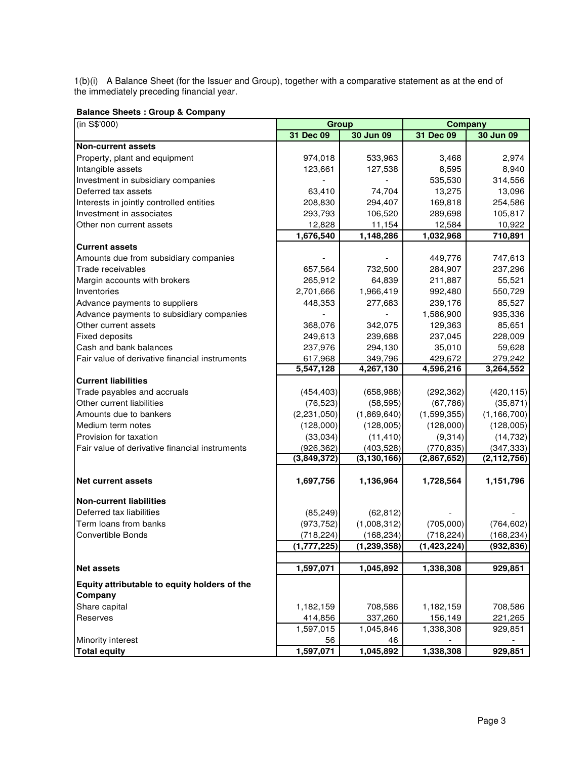1(b)(i) A Balance Sheet (for the Issuer and Group), together with a comparative statement as at the end of the immediately preceding financial year.

| (in S\$'000)                                   |                           | Group                       | Company                   |                             |  |  |
|------------------------------------------------|---------------------------|-----------------------------|---------------------------|-----------------------------|--|--|
|                                                | 31 Dec 09                 | 30 Jun 09                   | 31 Dec 09                 | 30 Jun 09                   |  |  |
| <b>Non-current assets</b>                      |                           |                             |                           |                             |  |  |
| Property, plant and equipment                  | 974,018                   | 533,963                     | 3,468                     | 2,974                       |  |  |
| Intangible assets                              | 123,661                   | 127,538                     | 8,595                     | 8,940                       |  |  |
| Investment in subsidiary companies             |                           |                             | 535,530                   | 314,556                     |  |  |
| Deferred tax assets                            | 63,410                    | 74,704                      | 13,275                    | 13,096                      |  |  |
| Interests in jointly controlled entities       | 208,830                   | 294,407                     | 169,818                   | 254,586                     |  |  |
| Investment in associates                       | 293,793                   | 106,520                     | 289,698                   | 105,817                     |  |  |
| Other non current assets                       | 12,828                    | 11,154                      | 12,584                    | 10,922                      |  |  |
|                                                | 1,676,540                 | 1,148,286                   | 1,032,968                 | 710,891                     |  |  |
| <b>Current assets</b>                          |                           |                             |                           |                             |  |  |
| Amounts due from subsidiary companies          |                           |                             | 449,776                   | 747,613                     |  |  |
| Trade receivables                              | 657,564                   | 732,500                     | 284,907                   | 237,296                     |  |  |
| Margin accounts with brokers                   | 265,912                   | 64,839                      | 211,887                   | 55,521                      |  |  |
| Inventories                                    | 2,701,666                 | 1,966,419                   | 992,480                   | 550,729                     |  |  |
| Advance payments to suppliers                  | 448,353                   | 277,683                     | 239,176                   | 85,527                      |  |  |
| Advance payments to subsidiary companies       |                           |                             | 1,586,900                 | 935,336                     |  |  |
| Other current assets                           | 368,076                   | 342,075                     | 129,363                   | 85,651                      |  |  |
| <b>Fixed deposits</b>                          | 249,613                   | 239,688                     | 237,045                   | 228,009                     |  |  |
| Cash and bank balances                         | 237,976                   | 294,130                     | 35,010                    | 59,628                      |  |  |
| Fair value of derivative financial instruments | 617,968                   | 349,796                     | 429,672                   | 279,242                     |  |  |
|                                                | 5,547,128                 | 4,267,130                   | 4,596,216                 | 3,264,552                   |  |  |
| <b>Current liabilities</b>                     |                           |                             |                           |                             |  |  |
| Trade payables and accruals                    | (454, 403)                | (658, 988)                  | (292, 362)                | (420, 115)                  |  |  |
| Other current liabilities                      | (76, 523)                 | (58, 595)                   | (67, 786)                 | (35, 871)                   |  |  |
| Amounts due to bankers                         |                           |                             |                           |                             |  |  |
|                                                | (2, 231, 050)             | (1,869,640)                 | (1,599,355)               | (1, 166, 700)               |  |  |
| Medium term notes                              | (128,000)                 | (128,005)                   | (128,000)                 | (128,005)                   |  |  |
| Provision for taxation                         | (33,034)                  | (11, 410)                   | (9,314)                   | (14, 732)                   |  |  |
| Fair value of derivative financial instruments | (926, 362)<br>(3,849,372) | (403, 528)<br>(3, 130, 166) | (770, 835)<br>(2,867,652) | (347, 333)<br>(2, 112, 756) |  |  |
|                                                |                           |                             |                           |                             |  |  |
| <b>Net current assets</b>                      | 1,697,756                 | 1,136,964                   | 1,728,564                 | 1,151,796                   |  |  |
| <b>Non-current liabilities</b>                 |                           |                             |                           |                             |  |  |
| Deferred tax liabilities                       | (85, 249)                 | (62, 812)                   |                           |                             |  |  |
| Term loans from banks                          | (973, 752)                | (1,008,312)                 | (705,000)                 | (764, 602)                  |  |  |
| <b>Convertible Bonds</b>                       | (718, 224)                | (168, 234)                  | (718, 224)                | (168, 234)                  |  |  |
|                                                | (1,777,225)               | (1, 239, 358)               | (1,423,224)               | (932, 836)                  |  |  |
|                                                |                           |                             |                           |                             |  |  |
| <b>Net assets</b>                              | 1,597,071                 | 1,045,892                   | 1,338,308                 | 929,851                     |  |  |
| Equity attributable to equity holders of the   |                           |                             |                           |                             |  |  |
| Company                                        |                           |                             |                           |                             |  |  |
| Share capital                                  | 1,182,159                 | 708,586                     | 1,182,159                 | 708,586                     |  |  |
| Reserves                                       | 414,856                   | 337,260                     | 156,149                   | 221,265                     |  |  |
|                                                | 1,597,015                 | 1,045,846                   | 1,338,308                 | 929,851                     |  |  |
| Minority interest                              | 56                        | 46                          |                           |                             |  |  |
| <b>Total equity</b>                            | 1,597,071                 | $\overline{1,}045,892$      | 1,338,308                 | 929,851                     |  |  |

**Balance Sheets : Group & Company**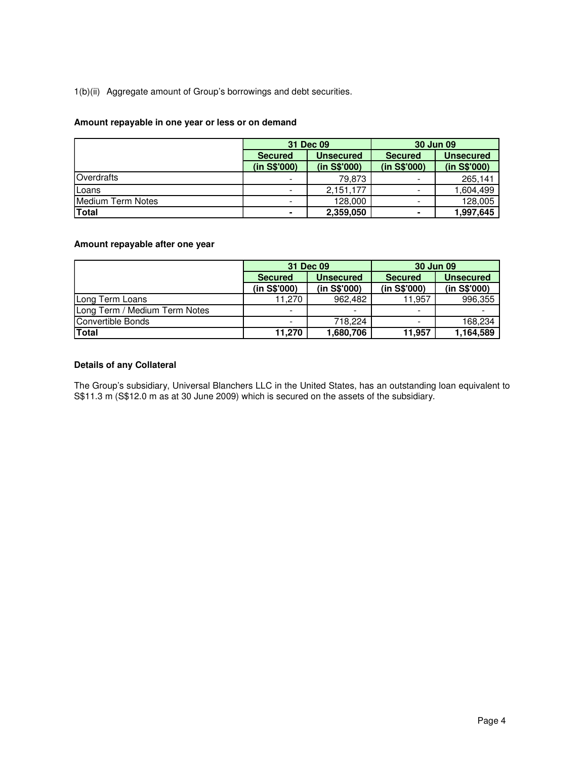# 1(b)(ii) Aggregate amount of Group's borrowings and debt securities.

# **Amount repayable in one year or less or on demand**

|                   |                | 31 Dec 09        | <b>30 Jun 09</b>         |                  |  |
|-------------------|----------------|------------------|--------------------------|------------------|--|
|                   | <b>Secured</b> | <b>Unsecured</b> | <b>Secured</b>           | <b>Unsecured</b> |  |
|                   | (in S\$'000)   | (in S\$'000)     | (in S\$'000)             | (in S\$'000)     |  |
| Overdrafts        | -              | 79.873           | $\overline{\phantom{a}}$ | 265.141          |  |
| Loans             | -              | 2,151,177        | $\overline{\phantom{a}}$ | 1,604,499        |  |
| Medium Term Notes | -              | 128,000          | $\overline{\phantom{a}}$ | 128,005          |  |
| <b>Total</b>      |                | 2,359,050        | ۰                        | 1,997,645        |  |

# **Amount repayable after one year**

|                               |                          | 31 Dec 09        | 30 Jun 09                |                  |  |
|-------------------------------|--------------------------|------------------|--------------------------|------------------|--|
|                               | <b>Secured</b>           | <b>Unsecured</b> | <b>Secured</b>           | <b>Unsecured</b> |  |
|                               | (in S\$'000)             | (in S\$'000)     | (in S\$'000)             | (in S\$'000)     |  |
| Long Term Loans               | 11.270                   | 962,482          | 11,957                   | 996,355          |  |
| Long Term / Medium Term Notes | $\,$                     | $\sim$           | $\overline{\phantom{a}}$ |                  |  |
| Convertible Bonds             | $\overline{\phantom{a}}$ | 718.224          | ۰                        | 168,234          |  |
| <b>Total</b>                  | 11.270                   | 1,680,706        | 11,957                   | 1,164,589        |  |

# **Details of any Collateral**

The Group's subsidiary, Universal Blanchers LLC in the United States, has an outstanding loan equivalent to S\$11.3 m (S\$12.0 m as at 30 June 2009) which is secured on the assets of the subsidiary.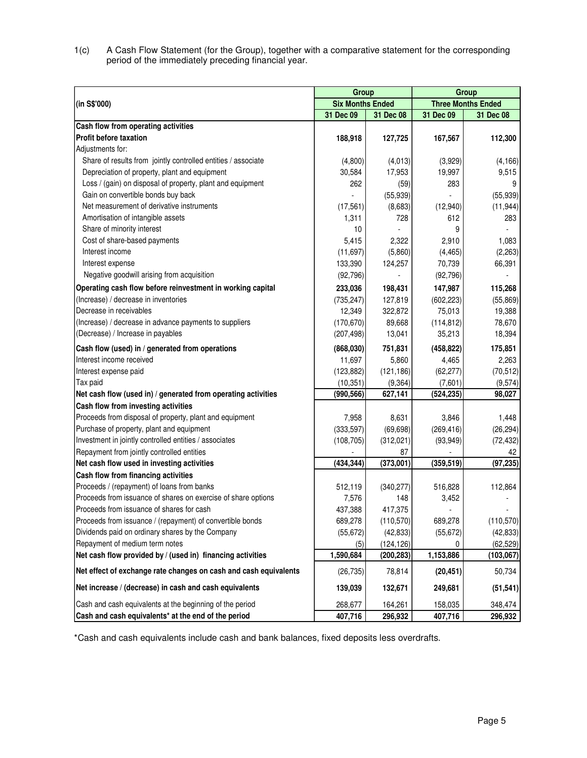1(c) A Cash Flow Statement (for the Group), together with a comparative statement for the corresponding period of the immediately preceding financial year.

|                                                                  | Group                   |            | Group      |                           |  |  |
|------------------------------------------------------------------|-------------------------|------------|------------|---------------------------|--|--|
| (in S\$'000)                                                     | <b>Six Months Ended</b> |            |            | <b>Three Months Ended</b> |  |  |
|                                                                  | 31 Dec 09               | 31 Dec 08  | 31 Dec 09  | 31 Dec 08                 |  |  |
| Cash flow from operating activities                              |                         |            |            |                           |  |  |
| <b>Profit before taxation</b>                                    | 188,918                 | 127,725    | 167,567    | 112,300                   |  |  |
| Adiustments for:                                                 |                         |            |            |                           |  |  |
| Share of results from jointly controlled entities / associate    | (4,800)                 | (4,013)    | (3,929)    | (4, 166)                  |  |  |
| Depreciation of property, plant and equipment                    | 30,584                  | 17,953     | 19,997     | 9,515                     |  |  |
| Loss / (gain) on disposal of property, plant and equipment       | 262                     | (59)       | 283        | 9                         |  |  |
| Gain on convertible bonds buy back                               |                         | (55, 939)  |            | (55, 939)                 |  |  |
| Net measurement of derivative instruments                        | (17, 561)               | (8,683)    | (12,940)   | (11, 944)                 |  |  |
| Amortisation of intangible assets                                | 1,311                   | 728        | 612        | 283                       |  |  |
| Share of minority interest                                       | 10                      |            | 9          |                           |  |  |
| Cost of share-based payments                                     | 5,415                   | 2,322      | 2,910      | 1,083                     |  |  |
| Interest income                                                  | (11, 697)               | (5,860)    | (4, 465)   | (2, 263)                  |  |  |
| Interest expense                                                 | 133,390                 | 124,257    | 70,739     | 66,391                    |  |  |
| Negative goodwill arising from acquisition                       | (92, 796)               |            | (92, 796)  |                           |  |  |
| Operating cash flow before reinvestment in working capital       | 233,036                 | 198,431    | 147,987    | 115,268                   |  |  |
| (Increase) / decrease in inventories                             | (735, 247)              | 127,819    | (602, 223) | (55, 869)                 |  |  |
| Decrease in receivables                                          | 12,349                  | 322,872    | 75,013     | 19,388                    |  |  |
| (Increase) / decrease in advance payments to suppliers           | (170, 670)              | 89,668     | (114, 812) | 78,670                    |  |  |
| (Decrease) / Increase in payables                                | (207, 498)              | 13,041     | 35,213     | 18,394                    |  |  |
| Cash flow (used) in / generated from operations                  | (868,030)               | 751,831    | (458, 822) | 175,851                   |  |  |
| Interest income received                                         | 11,697                  | 5,860      | 4,465      | 2,263                     |  |  |
| Interest expense paid                                            | (123, 882)              | (121, 186) | (62, 277)  | (70, 512)                 |  |  |
| Tax paid                                                         | (10, 351)               | (9, 364)   | (7,601)    | (9,574)                   |  |  |
| Net cash flow (used in) / generated from operating activities    | (990, 566)              | 627,141    | (524, 235) | 98,027                    |  |  |
| Cash flow from investing activities                              |                         |            |            |                           |  |  |
| Proceeds from disposal of property, plant and equipment          | 7,958                   | 8,631      | 3,846      | 1,448                     |  |  |
| Purchase of property, plant and equipment                        | (333, 597)              | (69, 698)  | (269, 416) | (26, 294)                 |  |  |
| Investment in jointly controlled entities / associates           | (108, 705)              | (312, 021) | (93, 949)  | (72, 432)                 |  |  |
| Repayment from jointly controlled entities                       |                         | 87         |            | 42                        |  |  |
| Net cash flow used in investing activities                       | (434, 344)              | (373,001)  | (359, 519) | (97, 235)                 |  |  |
| Cash flow from financing activities                              |                         |            |            |                           |  |  |
| Proceeds / (repayment) of loans from banks                       | 512,119                 | (340, 277) | 516,828    | 112,864                   |  |  |
| Proceeds from issuance of shares on exercise of share options    | 7,576                   | 148        | 3,452      |                           |  |  |
| Proceeds from issuance of shares for cash                        | 437,388                 | 417,375    |            |                           |  |  |
| Proceeds from issuance / (repayment) of convertible bonds        | 689,278                 | (110, 570) | 689,278    | (110, 570)                |  |  |
| Dividends paid on ordinary shares by the Company                 | (55, 672)               | (42, 833)  | (55, 672)  | (42, 833)                 |  |  |
| Repayment of medium term notes                                   | (5)                     | (124, 126) | 0          | (62, 529)                 |  |  |
| Net cash flow provided by / (used in) financing activities       | 1,590,684               | (200, 283) | 1,153,886  | (103, 067)                |  |  |
| Net effect of exchange rate changes on cash and cash equivalents | (26, 735)               | 78,814     | (20, 451)  | 50,734                    |  |  |
| Net increase / (decrease) in cash and cash equivalents           | 139,039                 | 132,671    | 249,681    | (51, 541)                 |  |  |
| Cash and cash equivalents at the beginning of the period         | 268,677                 | 164,261    | 158,035    | 348,474                   |  |  |
| Cash and cash equivalents* at the end of the period              | 407,716                 | 296,932    | 407,716    | 296,932                   |  |  |

\*Cash and cash equivalents include cash and bank balances, fixed deposits less overdrafts.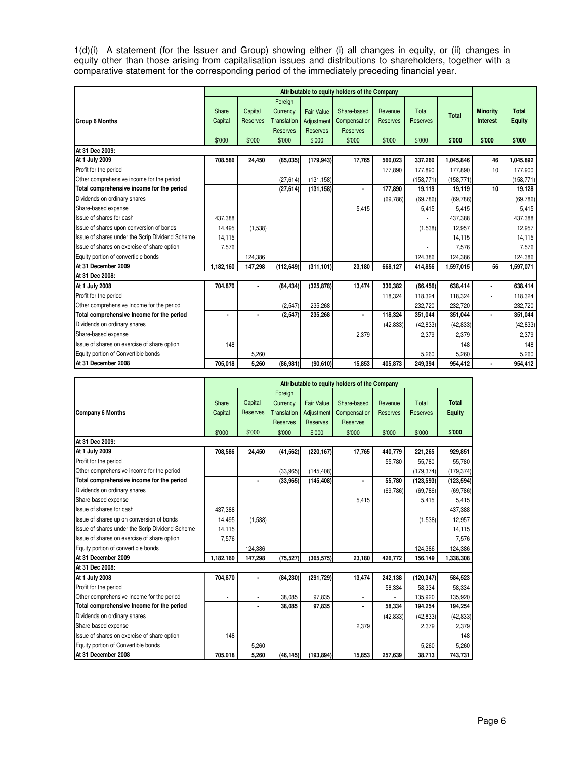1(d)(i) A statement (for the Issuer and Group) showing either (i) all changes in equity, or (ii) changes in equity other than those arising from capitalisation issues and distributions to shareholders, together with a comparative statement for the corresponding period of the immediately preceding financial year.

|                                                 | Attributable to equity holders of the Company |                 |                 |                   |                 |                 |                 |              |                 |               |
|-------------------------------------------------|-----------------------------------------------|-----------------|-----------------|-------------------|-----------------|-----------------|-----------------|--------------|-----------------|---------------|
|                                                 |                                               |                 | Foreign         |                   |                 |                 |                 |              |                 |               |
|                                                 | Share                                         | Capital         | Currency        | <b>Fair Value</b> | Share-based     | Revenue         | Total           | <b>Total</b> | <b>Minority</b> | <b>Total</b>  |
| <b>Group 6 Months</b>                           | Capital                                       | <b>Reserves</b> | Translation     | Adjustment        | Compensation    | <b>Reserves</b> | <b>Reserves</b> |              | Interest        | <b>Equity</b> |
|                                                 |                                               |                 | <b>Reserves</b> | <b>Reserves</b>   | <b>Reserves</b> |                 |                 |              |                 |               |
|                                                 | \$'000                                        | \$'000          | \$'000          | \$'000            | \$'000          | \$'000          | \$'000          | \$'000       | \$'000          | \$'000        |
| At 31 Dec 2009:                                 |                                               |                 |                 |                   |                 |                 |                 |              |                 |               |
| At 1 July 2009                                  | 708,586                                       | 24,450          | (85,035)        | (179, 943)        | 17,765          | 560.023         | 337,260         | 1,045,846    | 46              | 1,045,892     |
| Profit for the period                           |                                               |                 |                 |                   |                 | 177,890         | 177.890         | 177,890      | 10              | 177,900       |
| Other comprehensive income for the period       |                                               |                 | (27, 614)       | (131, 158)        |                 |                 | (158, 771)      | (158, 771)   |                 | (158, 771)    |
| Total comprehensive income for the period       |                                               |                 | (27, 614)       | (131, 158)        | $\blacksquare$  | 177,890         | 19,119          | 19,119       | 10              | 19,128        |
| Dividends on ordinary shares                    |                                               |                 |                 |                   |                 | (69, 786)       | (69, 786)       | (69, 786)    |                 | (69, 786)     |
| Share-based expense                             |                                               |                 |                 |                   | 5,415           |                 | 5,415           | 5,415        |                 | 5.415         |
| Issue of shares for cash                        | 437,388                                       |                 |                 |                   |                 |                 |                 | 437,388      |                 | 437,388       |
| Issue of shares upon conversion of bonds        | 14,495                                        | (1,538)         |                 |                   |                 |                 | (1,538)         | 12,957       |                 | 12,957        |
| Issue of shares under the Scrip Dividend Scheme | 14,115                                        |                 |                 |                   |                 |                 |                 | 14,115       |                 | 14,115        |
| Issue of shares on exercise of share option     | 7,576                                         |                 |                 |                   |                 |                 |                 | 7,576        |                 | 7,576         |
| Equity portion of convertible bonds             |                                               | 124,386         |                 |                   |                 |                 | 124,386         | 124,386      |                 | 124,386       |
| At 31 December 2009                             | 1.182.160                                     | 147,298         | (112, 649)      | (311, 101)        | 23,180          | 668,127         | 414,856         | 1,597,015    | 56              | 1,597,071     |
| At 31 Dec 2008:                                 |                                               |                 |                 |                   |                 |                 |                 |              |                 |               |
| At 1 July 2008                                  | 704,870                                       |                 | (84, 434)       | (325, 878)        | 13,474          | 330,382         | (66, 456)       | 638,414      |                 | 638,414       |
| Profit for the period                           |                                               |                 |                 |                   |                 | 118,324         | 118,324         | 118,324      |                 | 118,324       |
| Other comprehensive Income for the period       |                                               |                 | (2,547)         | 235.268           |                 |                 | 232.720         | 232.720      |                 | 232.720       |
| Total comprehensive Income for the period       |                                               |                 | (2, 547)        | 235,268           |                 | 118.324         | 351.044         | 351,044      | ٠               | 351,044       |
| Dividends on ordinary shares                    |                                               |                 |                 |                   |                 | (42, 833)       | (42, 833)       | (42, 833)    |                 | (42, 833)     |
| Share-based expense                             |                                               |                 |                 |                   | 2,379           |                 | 2,379           | 2,379        |                 | 2,379         |
| Issue of shares on exercise of share option     | 148                                           |                 |                 |                   |                 |                 |                 | 148          |                 | 148           |
| Equity portion of Convertible bonds             |                                               | 5,260           |                 |                   |                 |                 | 5,260           | 5,260        |                 | 5,260         |
| At 31 December 2008                             | 705.018                                       | 5,260           | (86,981)        | (90, 610)         | 15,853          | 405,873         | 249.394         | 954,412      | ٠               | 954,412       |

|                                                 | Attributable to equity holders of the Company |                 |                 |                   |                 |                 |                 |               |  |  |
|-------------------------------------------------|-----------------------------------------------|-----------------|-----------------|-------------------|-----------------|-----------------|-----------------|---------------|--|--|
|                                                 |                                               |                 | Foreign         |                   |                 |                 |                 |               |  |  |
|                                                 | Share                                         | Capital         | Currency        | <b>Fair Value</b> | Share-based     | Revenue         | Total           | <b>Total</b>  |  |  |
| <b>Company 6 Months</b>                         | Capital                                       | <b>Reserves</b> | Translation     | Adjustment        | Compensation    | <b>Reserves</b> | <b>Reserves</b> | <b>Equity</b> |  |  |
|                                                 |                                               |                 | <b>Reserves</b> | <b>Reserves</b>   | <b>Reserves</b> |                 |                 |               |  |  |
|                                                 | \$'000                                        | \$'000          | \$'000          | \$'000            | \$'000          | \$'000          | \$'000          | \$'000        |  |  |
| At 31 Dec 2009:                                 |                                               |                 |                 |                   |                 |                 |                 |               |  |  |
| At 1 July 2009                                  | 708,586                                       | 24,450          | (41, 562)       | (220, 167)        | 17,765          | 440,779         | 221,265         | 929,851       |  |  |
| Profit for the period                           |                                               |                 |                 |                   |                 | 55,780          | 55,780          | 55,780        |  |  |
| Other comprehensive income for the period       |                                               |                 | (33, 965)       | (145, 408)        |                 |                 | (179.374)       | (179.374)     |  |  |
| Total comprehensive income for the period       |                                               | ٠               | (33,965)        | (145, 408)        | $\blacksquare$  | 55,780          | (123, 593)      | (123, 594)    |  |  |
| Dividends on ordinary shares                    |                                               |                 |                 |                   |                 | (69, 786)       | (69, 786)       | (69, 786)     |  |  |
| Share-based expense                             |                                               |                 |                 |                   | 5,415           |                 | 5,415           | 5,415         |  |  |
| Issue of shares for cash                        | 437,388                                       |                 |                 |                   |                 |                 |                 | 437,388       |  |  |
| Issue of shares up on conversion of bonds       | 14.495                                        | (1,538)         |                 |                   |                 |                 | (1,538)         | 12.957        |  |  |
| Issue of shares under the Scrip Dividend Scheme | 14,115                                        |                 |                 |                   |                 |                 |                 | 14,115        |  |  |
| Issue of shares on exercise of share option     | 7,576                                         |                 |                 |                   |                 |                 |                 | 7,576         |  |  |
| Equity portion of convertible bonds             |                                               | 124,386         |                 |                   |                 |                 | 124,386         | 124,386       |  |  |
| At 31 December 2009                             | 1,182,160                                     | 147,298         | (75, 527)       | (365, 575)        | 23,180          | 426,772         | 156,149         | 1,338,308     |  |  |
| At 31 Dec 2008:                                 |                                               |                 |                 |                   |                 |                 |                 |               |  |  |
| At 1 July 2008                                  | 704,870                                       |                 | (84, 230)       | (291, 729)        | 13,474          | 242,138         | (120, 347)      | 584,523       |  |  |
| Profit for the period                           |                                               |                 |                 |                   |                 | 58,334          | 58.334          | 58,334        |  |  |
| Other comprehensive Income for the period       |                                               |                 | 38.085          | 97.835            |                 |                 | 135,920         | 135,920       |  |  |
| Total comprehensive Income for the period       |                                               |                 | 38,085          | 97,835            | ٠               | 58,334          | 194,254         | 194,254       |  |  |
| Dividends on ordinary shares                    |                                               |                 |                 |                   |                 | (42, 833)       | (42, 833)       | (42, 833)     |  |  |
| Share-based expense                             |                                               |                 |                 |                   | 2,379           |                 | 2,379           | 2,379         |  |  |
| Issue of shares on exercise of share option     | 148                                           |                 |                 |                   |                 |                 |                 | 148           |  |  |
| Equity portion of Convertible bonds             |                                               | 5.260           |                 |                   |                 |                 | 5,260           | 5,260         |  |  |
| At 31 December 2008                             | 705.018                                       | 5.260           | (46.145)        | (193.894)         | 15,853          | 257,639         | 38,713          | 743.731       |  |  |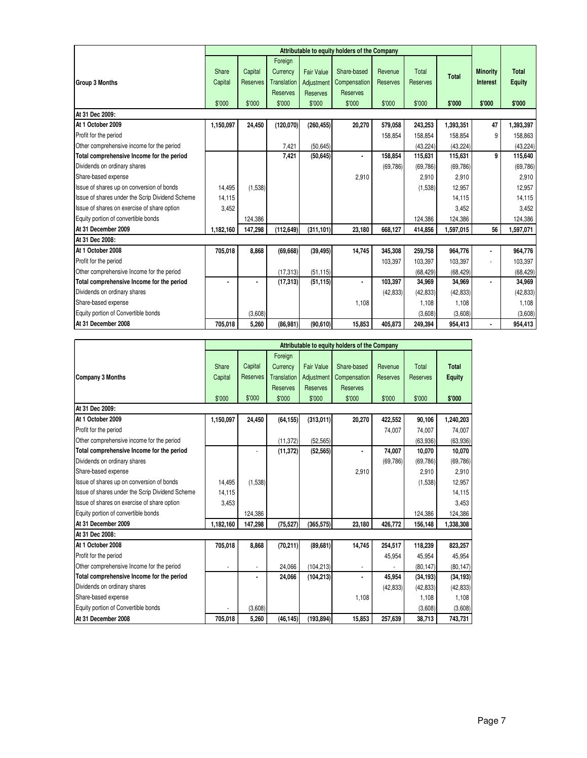|                                                 | Attributable to equity holders of the Company |                 |                    |                   |                 |           |                 |              |                 |              |
|-------------------------------------------------|-----------------------------------------------|-----------------|--------------------|-------------------|-----------------|-----------|-----------------|--------------|-----------------|--------------|
|                                                 |                                               |                 | Foreign            |                   |                 |           |                 |              |                 |              |
|                                                 | Share                                         | Capital         | Currency           | <b>Fair Value</b> | Share-based     | Revenue   | Total           | <b>Total</b> | <b>Minority</b> | <b>Total</b> |
| <b>Group 3 Months</b>                           | Capital                                       | <b>Reserves</b> | <b>Translation</b> | Adjustment        | Compensation    | Reserves  | <b>Reserves</b> |              | <b>Interest</b> | Equity       |
|                                                 |                                               |                 | Reserves           | <b>Reserves</b>   | <b>Reserves</b> |           |                 |              |                 |              |
|                                                 | \$'000                                        | \$'000          | \$'000             | \$'000            | \$'000          | \$'000    | \$'000          | \$'000       | \$'000          | \$'000       |
| At 31 Dec 2009:                                 |                                               |                 |                    |                   |                 |           |                 |              |                 |              |
| At 1 October 2009                               | 1,150,097                                     | 24,450          | (120, 070)         | (260, 455)        | 20,270          | 579,058   | 243,253         | 1,393,351    | 47              | 1,393,397    |
| Profit for the period                           |                                               |                 |                    |                   |                 | 158,854   | 158,854         | 158,854      | 9               | 158,863      |
| Other comprehensive income for the period       |                                               |                 | 7,421              | (50, 645)         |                 |           | (43, 224)       | (43, 224)    |                 | (43, 224)    |
| Total comprehensive Income for the period       |                                               |                 | 7,421              | (50, 645)         | ٠               | 158,854   | 115,631         | 115,631      | 9               | 115,640      |
| Dividends on ordinary shares                    |                                               |                 |                    |                   |                 | (69, 786) | (69, 786)       | (69, 786)    |                 | (69, 786)    |
| Share-based expense                             |                                               |                 |                    |                   | 2,910           |           | 2,910           | 2,910        |                 | 2,910        |
| Issue of shares up on conversion of bonds       | 14.495                                        | (1,538)         |                    |                   |                 |           | (1,538)         | 12,957       |                 | 12,957       |
| Issue of shares under the Scrip Dividend Scheme | 14,115                                        |                 |                    |                   |                 |           |                 | 14,115       |                 | 14,115       |
| Issue of shares on exercise of share option     | 3,452                                         |                 |                    |                   |                 |           |                 | 3,452        |                 | 3,452        |
| Equity portion of convertible bonds             |                                               | 124.386         |                    |                   |                 |           | 124,386         | 124,386      |                 | 124,386      |
| At 31 December 2009                             | 1,182,160                                     | 147,298         | (112, 649)         | (311, 101)        | 23,180          | 668,127   | 414,856         | 1,597,015    | 56              | 1,597,071    |
| At 31 Dec 2008:                                 |                                               |                 |                    |                   |                 |           |                 |              |                 |              |
| At 1 October 2008                               | 705,018                                       | 8,868           | (69, 668)          | (39, 495)         | 14,745          | 345,308   | 259,758         | 964,776      |                 | 964,776      |
| Profit for the period                           |                                               |                 |                    |                   |                 | 103,397   | 103,397         | 103,397      |                 | 103,397      |
| Other comprehensive Income for the period       |                                               |                 | (17, 313)          | (51, 115)         |                 |           | (68, 429)       | (68, 429)    |                 | (68, 429)    |
| Total comprehensive Income for the period       |                                               | ٠               | (17, 313)          | (51, 115)         | ٠               | 103,397   | 34,969          | 34,969       |                 | 34,969       |
| Dividends on ordinary shares                    |                                               |                 |                    |                   |                 | (42, 833) | (42, 833)       | (42, 833)    |                 | (42, 833)    |
| Share-based expense                             |                                               |                 |                    |                   | 1,108           |           | 1,108           | 1,108        |                 | 1,108        |
| Equity portion of Convertible bonds             |                                               | (3,608)         |                    |                   |                 |           | (3,608)         | (3,608)      |                 | (3,608)      |
| At 31 December 2008                             | 705.018                                       | 5,260           | (86, 981)          | (90, 610)         | 15,853          | 405,873   | 249.394         | 954,413      | ä,              | 954,413      |

|                                                 | Attributable to equity holders of the Company |          |                    |                   |                 |                 |                 |               |  |  |
|-------------------------------------------------|-----------------------------------------------|----------|--------------------|-------------------|-----------------|-----------------|-----------------|---------------|--|--|
|                                                 |                                               |          | Foreign            |                   |                 |                 |                 |               |  |  |
|                                                 | Share                                         | Capital  | Currency           | <b>Fair Value</b> | Share-based     | Revenue         | Total           | <b>Total</b>  |  |  |
| Company 3 Months                                | Capital                                       | Reserves | <b>Translation</b> | Adjustment        | Compensation    | <b>Reserves</b> | <b>Reserves</b> | <b>Equity</b> |  |  |
|                                                 |                                               |          | Reserves           | <b>Reserves</b>   | <b>Reserves</b> |                 |                 |               |  |  |
|                                                 | \$'000                                        | \$'000   | \$'000             | \$'000            | \$'000          | \$'000          | \$'000          | \$'000        |  |  |
| At 31 Dec 2009:                                 |                                               |          |                    |                   |                 |                 |                 |               |  |  |
| At 1 October 2009                               | 1,150,097                                     | 24,450   | (64, 155)          | (313, 011)        | 20,270          | 422,552         | 90,106          | 1,240,203     |  |  |
| Profit for the period                           |                                               |          |                    |                   |                 | 74,007          | 74,007          | 74,007        |  |  |
| Other comprehensive income for the period       |                                               |          | (11, 372)          | (52, 565)         |                 |                 | (63,936)        | (63,936)      |  |  |
| Total comprehensive Income for the period       |                                               |          | (11, 372)          | (52, 565)         | ä,              | 74,007          | 10,070          | 10,070        |  |  |
| Dividends on ordinary shares                    |                                               |          |                    |                   |                 | (69, 786)       | (69, 786)       | (69, 786)     |  |  |
| Share-based expense                             |                                               |          |                    |                   | 2,910           |                 | 2.910           | 2.910         |  |  |
| Issue of shares up on conversion of bonds       | 14.495                                        | (1,538)  |                    |                   |                 |                 | (1,538)         | 12.957        |  |  |
| Issue of shares under the Scrip Dividend Scheme | 14,115                                        |          |                    |                   |                 |                 |                 | 14,115        |  |  |
| Issue of shares on exercise of share option     | 3,453                                         |          |                    |                   |                 |                 |                 | 3.453         |  |  |
| Equity portion of convertible bonds             |                                               | 124.386  |                    |                   |                 |                 | 124.386         | 124,386       |  |  |
| At 31 December 2009                             | 1,182,160                                     | 147,298  | (75, 527)          | (365, 575)        | 23,180          | 426,772         | 156,148         | 1,338,308     |  |  |
| At 31 Dec 2008:                                 |                                               |          |                    |                   |                 |                 |                 |               |  |  |
| At 1 October 2008                               | 705,018                                       | 8,868    | (70, 211)          | (89, 681)         | 14,745          | 254,517         | 118,239         | 823,257       |  |  |
| Profit for the period                           |                                               |          |                    |                   |                 | 45,954          | 45,954          | 45,954        |  |  |
| Other comprehensive Income for the period       |                                               |          | 24.066             | (104, 213)        |                 |                 | (80, 147)       | (80, 147)     |  |  |
| Total comprehensive Income for the period       |                                               | ٠        | 24,066             | (104, 213)        | ٠               | 45,954          | (34, 193)       | (34, 193)     |  |  |
| Dividends on ordinary shares                    |                                               |          |                    |                   |                 | (42, 833)       | (42, 833)       | (42, 833)     |  |  |
| Share-based expense                             |                                               |          |                    |                   | 1,108           |                 | 1,108           | 1,108         |  |  |
| Equity portion of Convertible bonds             |                                               | (3,608)  |                    |                   |                 |                 | (3,608)         | (3,608)       |  |  |
| At 31 December 2008                             | 705.018                                       | 5,260    | (46, 145)          | (193, 894)        | 15,853          | 257,639         | 38,713          | 743,731       |  |  |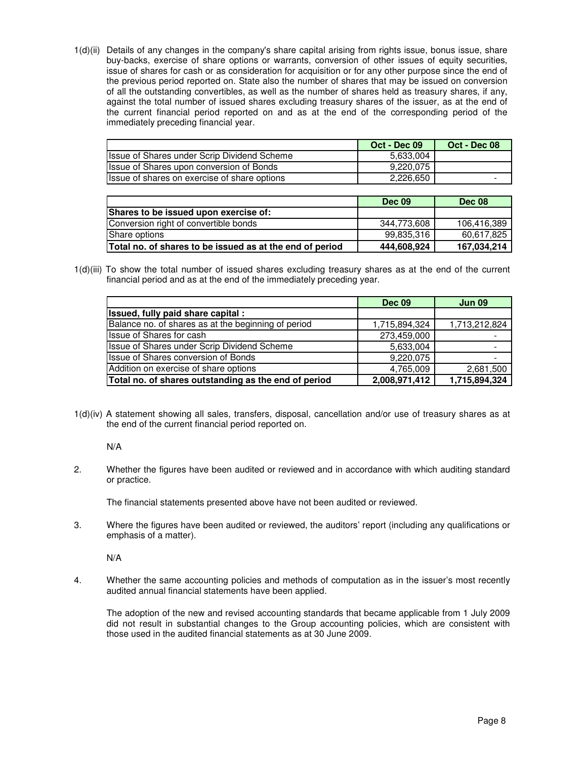1(d)(ii) Details of any changes in the company's share capital arising from rights issue, bonus issue, share buy-backs, exercise of share options or warrants, conversion of other issues of equity securities, issue of shares for cash or as consideration for acquisition or for any other purpose since the end of the previous period reported on. State also the number of shares that may be issued on conversion of all the outstanding convertibles, as well as the number of shares held as treasury shares, if any, against the total number of issued shares excluding treasury shares of the issuer, as at the end of the current financial period reported on and as at the end of the corresponding period of the immediately preceding financial year.

|                                              | Oct - Dec 09 | Oct - Dec 08 |
|----------------------------------------------|--------------|--------------|
| Issue of Shares under Scrip Dividend Scheme  | 5,633,004    |              |
| Issue of Shares upon conversion of Bonds     | 9.220.075    |              |
| Issue of shares on exercise of share options | 2,226,650    |              |

|                                                          | <b>Dec 09</b> | Dec 08      |
|----------------------------------------------------------|---------------|-------------|
| Shares to be issued upon exercise of:_                   |               |             |
| Conversion right of convertible bonds                    | 344.773.608   | 106,416,389 |
| Share options                                            | 99.835.316    | 60.617.825  |
| Total no. of shares to be issued as at the end of period | 444,608,924   | 167,034,214 |

1(d)(iii) To show the total number of issued shares excluding treasury shares as at the end of the current financial period and as at the end of the immediately preceding year.

|                                                      | <b>Dec 09</b> | <b>Jun 09</b> |
|------------------------------------------------------|---------------|---------------|
| Issued, fully paid share capital:                    |               |               |
| Balance no. of shares as at the beginning of period  | 1,715,894,324 | 1,713,212,824 |
| <b>Ilssue of Shares for cash</b>                     | 273,459,000   |               |
| <b>Issue of Shares under Scrip Dividend Scheme</b>   | 5,633,004     |               |
| <b>Issue of Shares conversion of Bonds</b>           | 9,220,075     |               |
| Addition on exercise of share options                | 4,765,009     | 2,681,500     |
| Total no. of shares outstanding as the end of period | 2,008,971,412 | 1,715,894,324 |

1(d)(iv) A statement showing all sales, transfers, disposal, cancellation and/or use of treasury shares as at the end of the current financial period reported on.

N/A

2. Whether the figures have been audited or reviewed and in accordance with which auditing standard or practice.

The financial statements presented above have not been audited or reviewed.

3. Where the figures have been audited or reviewed, the auditors' report (including any qualifications or emphasis of a matter).

N/A

4. Whether the same accounting policies and methods of computation as in the issuer's most recently audited annual financial statements have been applied.

 The adoption of the new and revised accounting standards that became applicable from 1 July 2009 did not result in substantial changes to the Group accounting policies, which are consistent with those used in the audited financial statements as at 30 June 2009.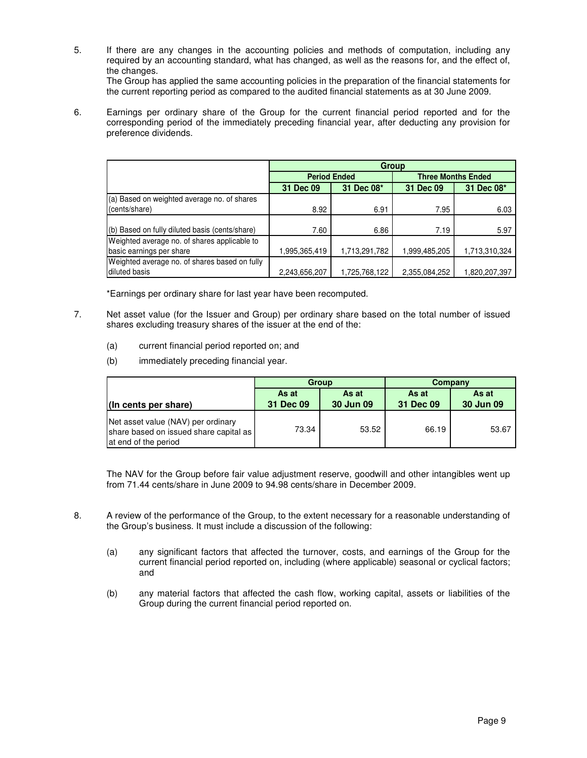5. If there are any changes in the accounting policies and methods of computation, including any required by an accounting standard, what has changed, as well as the reasons for, and the effect of, the changes.

 The Group has applied the same accounting policies in the preparation of the financial statements for the current reporting period as compared to the audited financial statements as at 30 June 2009.

6. Earnings per ordinary share of the Group for the current financial period reported and for the corresponding period of the immediately preceding financial year, after deducting any provision for preference dividends.

|                                                | Group               |               |                           |               |  |  |
|------------------------------------------------|---------------------|---------------|---------------------------|---------------|--|--|
|                                                | <b>Period Ended</b> |               | <b>Three Months Ended</b> |               |  |  |
|                                                | 31 Dec 09           | 31 Dec 08*    | 31 Dec 09                 | 31 Dec 08*    |  |  |
| (a) Based on weighted average no. of shares    |                     |               |                           |               |  |  |
| (cents/share)                                  | 8.92                | 6.91          | 7.95                      | 6.03          |  |  |
|                                                |                     |               |                           |               |  |  |
| (b) Based on fully diluted basis (cents/share) | 7.60                | 6.86          | 7.19                      | 5.97          |  |  |
| Weighted average no. of shares applicable to   |                     |               |                           |               |  |  |
| basic earnings per share                       | 995.365.419         | 1,713,291,782 | 1,999,485,205             | 1,713,310,324 |  |  |
| Weighted average no. of shares based on fully  |                     |               |                           |               |  |  |
| diluted basis                                  | 2,243,656,207       | 1,725,768,122 | 2,355,084,252             | .820,207,397  |  |  |

\*Earnings per ordinary share for last year have been recomputed.

- 7. Net asset value (for the Issuer and Group) per ordinary share based on the total number of issued shares excluding treasury shares of the issuer at the end of the:
	- (a) current financial period reported on; and
	- (b) immediately preceding financial year.

|                                                                                                      |                    | <b>Group</b>       | Company            |                    |  |
|------------------------------------------------------------------------------------------------------|--------------------|--------------------|--------------------|--------------------|--|
| (In cents per share)                                                                                 | As at<br>31 Dec 09 | As at<br>30 Jun 09 | As at<br>31 Dec 09 | As at<br>30 Jun 09 |  |
| Net asset value (NAV) per ordinary<br>share based on issued share capital as<br>at end of the period | 73.34              | 53.52              | 66.19              | 53.67              |  |

The NAV for the Group before fair value adjustment reserve, goodwill and other intangibles went up from 71.44 cents/share in June 2009 to 94.98 cents/share in December 2009.

- 8. A review of the performance of the Group, to the extent necessary for a reasonable understanding of the Group's business. It must include a discussion of the following:
	- (a) any significant factors that affected the turnover, costs, and earnings of the Group for the current financial period reported on, including (where applicable) seasonal or cyclical factors; and
	- (b) any material factors that affected the cash flow, working capital, assets or liabilities of the Group during the current financial period reported on.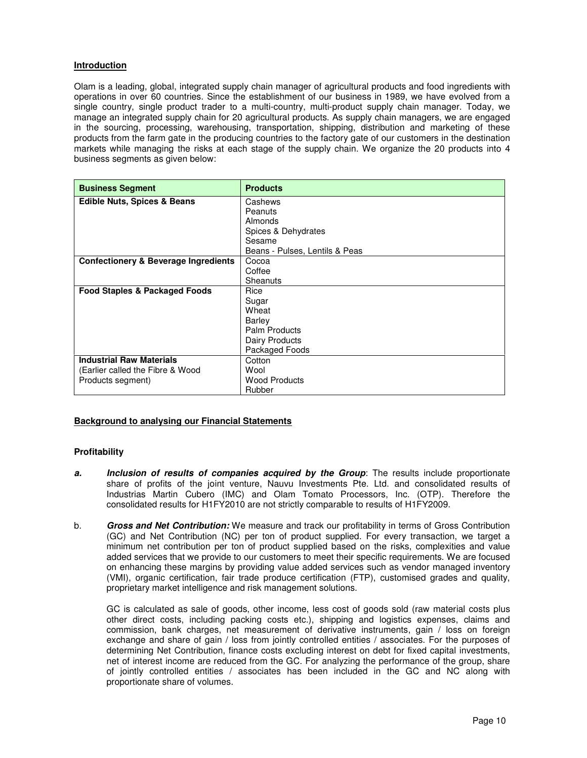# **Introduction**

Olam is a leading, global, integrated supply chain manager of agricultural products and food ingredients with operations in over 60 countries. Since the establishment of our business in 1989, we have evolved from a single country, single product trader to a multi-country, multi-product supply chain manager. Today, we manage an integrated supply chain for 20 agricultural products. As supply chain managers, we are engaged in the sourcing, processing, warehousing, transportation, shipping, distribution and marketing of these products from the farm gate in the producing countries to the factory gate of our customers in the destination markets while managing the risks at each stage of the supply chain. We organize the 20 products into 4 business segments as given below:

| <b>Business Segment</b>                  | <b>Products</b>                |
|------------------------------------------|--------------------------------|
| <b>Edible Nuts, Spices &amp; Beans</b>   | Cashews                        |
|                                          | Peanuts                        |
|                                          | Almonds                        |
|                                          | Spices & Dehydrates            |
|                                          | Sesame                         |
|                                          | Beans - Pulses, Lentils & Peas |
| Confectionery & Beverage Ingredients     | Cocoa                          |
|                                          | Coffee                         |
|                                          | Sheanuts                       |
| <b>Food Staples &amp; Packaged Foods</b> | Rice                           |
|                                          | Sugar                          |
|                                          | Wheat                          |
|                                          | Barley                         |
|                                          | Palm Products                  |
|                                          | Dairy Products                 |
|                                          | Packaged Foods                 |
| <b>Industrial Raw Materials</b>          | Cotton                         |
| (Earlier called the Fibre & Wood         | Wool                           |
| Products segment)                        | <b>Wood Products</b>           |
|                                          | Rubber                         |

# **Background to analysing our Financial Statements**

#### **Profitability**

- **a.** Inclusion of results of companies acquired by the Group: The results include proportionate share of profits of the joint venture, Nauvu Investments Pte. Ltd. and consolidated results of Industrias Martin Cubero (IMC) and Olam Tomato Processors, Inc. (OTP). Therefore the consolidated results for H1FY2010 are not strictly comparable to results of H1FY2009.
- b. **Gross and Net Contribution:** We measure and track our profitability in terms of Gross Contribution (GC) and Net Contribution (NC) per ton of product supplied. For every transaction, we target a minimum net contribution per ton of product supplied based on the risks, complexities and value added services that we provide to our customers to meet their specific requirements. We are focused on enhancing these margins by providing value added services such as vendor managed inventory (VMI), organic certification, fair trade produce certification (FTP), customised grades and quality, proprietary market intelligence and risk management solutions.

GC is calculated as sale of goods, other income, less cost of goods sold (raw material costs plus other direct costs, including packing costs etc.), shipping and logistics expenses, claims and commission, bank charges, net measurement of derivative instruments, gain / loss on foreign exchange and share of gain / loss from jointly controlled entities / associates. For the purposes of determining Net Contribution, finance costs excluding interest on debt for fixed capital investments, net of interest income are reduced from the GC. For analyzing the performance of the group, share of jointly controlled entities / associates has been included in the GC and NC along with proportionate share of volumes.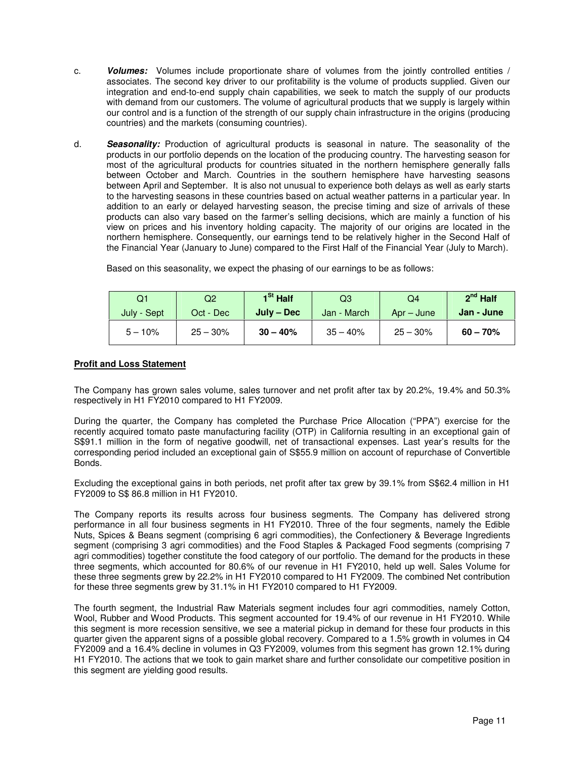- c. **Volumes:** Volumes include proportionate share of volumes from the jointly controlled entities / associates. The second key driver to our profitability is the volume of products supplied. Given our integration and end-to-end supply chain capabilities, we seek to match the supply of our products with demand from our customers. The volume of agricultural products that we supply is largely within our control and is a function of the strength of our supply chain infrastructure in the origins (producing countries) and the markets (consuming countries).
- d. **Seasonality:** Production of agricultural products is seasonal in nature. The seasonality of the products in our portfolio depends on the location of the producing country. The harvesting season for most of the agricultural products for countries situated in the northern hemisphere generally falls between October and March. Countries in the southern hemisphere have harvesting seasons between April and September. It is also not unusual to experience both delays as well as early starts to the harvesting seasons in these countries based on actual weather patterns in a particular year. In addition to an early or delayed harvesting season, the precise timing and size of arrivals of these products can also vary based on the farmer's selling decisions, which are mainly a function of his view on prices and his inventory holding capacity. The majority of our origins are located in the northern hemisphere. Consequently, our earnings tend to be relatively higher in the Second Half of the Financial Year (January to June) compared to the First Half of the Financial Year (July to March).

| Q1          | Q2         | 1 <sup>St</sup> Half | Q3          | Q4           | $2^{nd}$ Half |
|-------------|------------|----------------------|-------------|--------------|---------------|
| July - Sept | Oct - Dec  | $July - Dec$         | Jan - March | $Apr - June$ | Jan - June    |
| $5 - 10%$   | $25 - 30%$ | $30 - 40%$           | $35 - 40%$  | $25 - 30%$   | $60 - 70%$    |

Based on this seasonality, we expect the phasing of our earnings to be as follows:

#### **Profit and Loss Statement**

The Company has grown sales volume, sales turnover and net profit after tax by 20.2%, 19.4% and 50.3% respectively in H1 FY2010 compared to H1 FY2009.

During the quarter, the Company has completed the Purchase Price Allocation ("PPA") exercise for the recently acquired tomato paste manufacturing facility (OTP) in California resulting in an exceptional gain of S\$91.1 million in the form of negative goodwill, net of transactional expenses. Last year's results for the corresponding period included an exceptional gain of S\$55.9 million on account of repurchase of Convertible Bonds.

Excluding the exceptional gains in both periods, net profit after tax grew by 39.1% from S\$62.4 million in H1 FY2009 to S\$ 86.8 million in H1 FY2010.

The Company reports its results across four business segments. The Company has delivered strong performance in all four business segments in H1 FY2010. Three of the four segments, namely the Edible Nuts, Spices & Beans segment (comprising 6 agri commodities), the Confectionery & Beverage Ingredients segment (comprising 3 agri commodities) and the Food Staples & Packaged Food segments (comprising 7 agri commodities) together constitute the food category of our portfolio. The demand for the products in these three segments, which accounted for 80.6% of our revenue in H1 FY2010, held up well. Sales Volume for these three segments grew by 22.2% in H1 FY2010 compared to H1 FY2009. The combined Net contribution for these three segments grew by 31.1% in H1 FY2010 compared to H1 FY2009.

The fourth segment, the Industrial Raw Materials segment includes four agri commodities, namely Cotton, Wool, Rubber and Wood Products. This segment accounted for 19.4% of our revenue in H1 FY2010. While this segment is more recession sensitive, we see a material pickup in demand for these four products in this quarter given the apparent signs of a possible global recovery. Compared to a 1.5% growth in volumes in Q4 FY2009 and a 16.4% decline in volumes in Q3 FY2009, volumes from this segment has grown 12.1% during H1 FY2010. The actions that we took to gain market share and further consolidate our competitive position in this segment are yielding good results.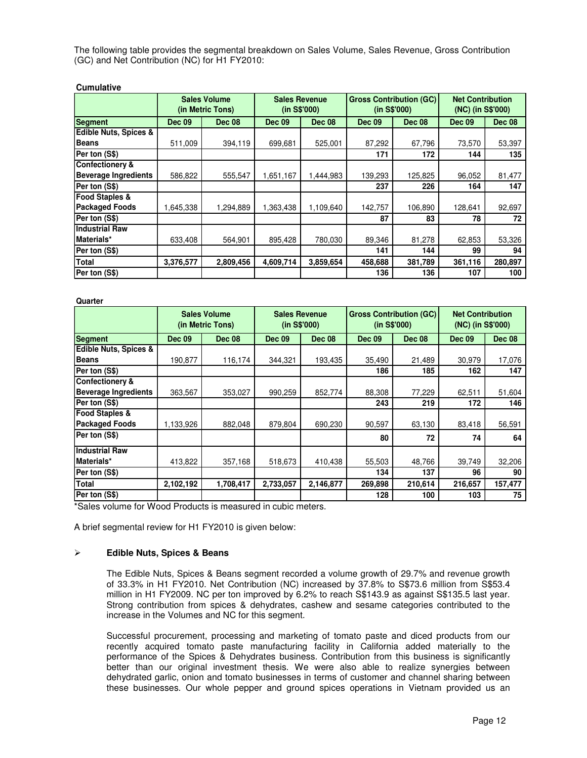The following table provides the segmental breakdown on Sales Volume, Sales Revenue, Gross Contribution (GC) and Net Contribution (NC) for H1 FY2010:

# **Cumulative**

|                             | <b>Sales Volume</b><br>(in Metric Tons) |               | <b>Sales Revenue</b><br>(in S\$'000) |               | <b>Gross Contribution (GC)</b><br>(in S\$'000) |               | <b>Net Contribution</b><br>(NC) (in S\$'000) |               |
|-----------------------------|-----------------------------------------|---------------|--------------------------------------|---------------|------------------------------------------------|---------------|----------------------------------------------|---------------|
| <b>Segment</b>              | <b>Dec 09</b>                           | <b>Dec 08</b> | <b>Dec 09</b>                        | <b>Dec 08</b> | <b>Dec 09</b>                                  | <b>Dec 08</b> | <b>Dec 09</b>                                | <b>Dec 08</b> |
| Edible Nuts, Spices &       |                                         |               |                                      |               |                                                |               |                                              |               |
| <b>Beans</b>                | 511,009                                 | 394,119       | 699,681                              | 525,001       | 87,292                                         | 67,796        | 73,570                                       | 53,397        |
| Per ton (S\$)               |                                         |               |                                      |               | 171                                            | 172           | 144                                          | 135           |
| <b>Confectionery &amp;</b>  |                                         |               |                                      |               |                                                |               |                                              |               |
| <b>Beverage Ingredients</b> | 586,822                                 | 555,547       | 1,651,167                            | 1,444,983     | 139,293                                        | 125,825       | 96,052                                       | 81,477        |
| Per ton (S\$)               |                                         |               |                                      |               | 237                                            | 226           | 164                                          | 147           |
| <b>Food Staples &amp;</b>   |                                         |               |                                      |               |                                                |               |                                              |               |
| <b>Packaged Foods</b>       | 1,645,338                               | 1,294,889     | 1,363,438                            | 1,109,640     | 142,757                                        | 106,890       | 128,641                                      | 92,697        |
| Per ton (S\$)               |                                         |               |                                      |               | 87                                             | 83            | 78                                           | 72            |
| <b>Industrial Raw</b>       |                                         |               |                                      |               |                                                |               |                                              |               |
| Materials*                  | 633,408                                 | 564,901       | 895,428                              | 780,030       | 89,346                                         | 81,278        | 62,853                                       | 53,326        |
| Per ton (S\$)               |                                         |               |                                      |               | 141                                            | 144           | 99                                           | 94            |
| <b>Total</b>                | 3,376,577                               | 2,809,456     | 4,609,714                            | 3,859,654     | 458,688                                        | 381,789       | 361,116                                      | 280,897       |
| Per ton (S\$)               |                                         |               |                                      |               | 136                                            | 136           | 107                                          | 100           |

| Quarter                          |                                         |               |                                      |               |                                                |               |                                              |               |
|----------------------------------|-----------------------------------------|---------------|--------------------------------------|---------------|------------------------------------------------|---------------|----------------------------------------------|---------------|
|                                  | <b>Sales Volume</b><br>(in Metric Tons) |               | <b>Sales Revenue</b><br>(in S\$'000) |               | <b>Gross Contribution (GC)</b><br>(in S\$'000) |               | <b>Net Contribution</b><br>(NC) (in S\$'000) |               |
| <b>Segment</b>                   | <b>Dec 09</b>                           | <b>Dec 08</b> | <b>Dec 09</b>                        | <b>Dec 08</b> | <b>Dec 09</b>                                  | <b>Dec 08</b> |                                              | <b>Dec 08</b> |
| <b>Edible Nuts, Spices &amp;</b> |                                         |               |                                      |               |                                                |               |                                              |               |
| <b>Beans</b>                     | 190,877                                 | 116,174       | 344,321                              | 193,435       | 35,490                                         | 21,489        | 30,979                                       | 17,076        |
| Per ton (S\$)                    |                                         |               |                                      |               | 186                                            | 185           | 162                                          | 147           |
| <b>Confectionery &amp;</b>       |                                         |               |                                      |               |                                                |               |                                              |               |
| <b>Beverage Ingredients</b>      | 363,567                                 | 353,027       | 990,259                              | 852,774       | 88,308                                         | 77,229        | 62,511                                       | 51,604        |
| Per ton (S\$)                    |                                         |               |                                      |               | 243                                            | 219           | 172                                          | 146           |
| <b>Food Staples &amp;</b>        |                                         |               |                                      |               |                                                |               |                                              |               |
| <b>Packaged Foods</b>            | 1,133,926                               | 882,048       | 879.804                              | 690,230       | 90,597                                         | 63,130        | 83,418                                       | 56,591        |
| Per ton (S\$)                    |                                         |               |                                      |               | 80                                             | 72            | 74                                           | 64            |
| <b>Industrial Raw</b>            |                                         |               |                                      |               |                                                |               |                                              |               |
| Materials*                       | 413,822                                 | 357,168       | 518,673                              | 410,438       | 55,503                                         | 48,766        | 39,749                                       | 32,206        |
| Per ton (S\$)                    |                                         |               |                                      |               | 134                                            | 137           | 96                                           | 90            |
| <b>Total</b>                     | 2,102,192                               | 1,708,417     | 2,733,057                            | 2,146,877     | 269,898                                        | 210,614       | 216,657                                      | 157,477       |
| Per ton (S\$)                    |                                         |               |                                      |               | 128                                            | 100           | 103                                          | 75            |
| $\sim$ $\sim$ $\sim$             |                                         |               | $1.1 - 1.1 - 1.1 - 1.1$              |               |                                                |               |                                              |               |

\*Sales volume for Wood Products is measured in cubic meters.

A brief segmental review for H1 FY2010 is given below:

#### **Edible Nuts, Spices & Beans**

The Edible Nuts, Spices & Beans segment recorded a volume growth of 29.7% and revenue growth of 33.3% in H1 FY2010. Net Contribution (NC) increased by 37.8% to S\$73.6 million from S\$53.4 million in H1 FY2009. NC per ton improved by 6.2% to reach S\$143.9 as against S\$135.5 last year. Strong contribution from spices & dehydrates, cashew and sesame categories contributed to the increase in the Volumes and NC for this segment.

Successful procurement, processing and marketing of tomato paste and diced products from our recently acquired tomato paste manufacturing facility in California added materially to the performance of the Spices & Dehydrates business. Contribution from this business is significantly better than our original investment thesis. We were also able to realize synergies between dehydrated garlic, onion and tomato businesses in terms of customer and channel sharing between these businesses. Our whole pepper and ground spices operations in Vietnam provided us an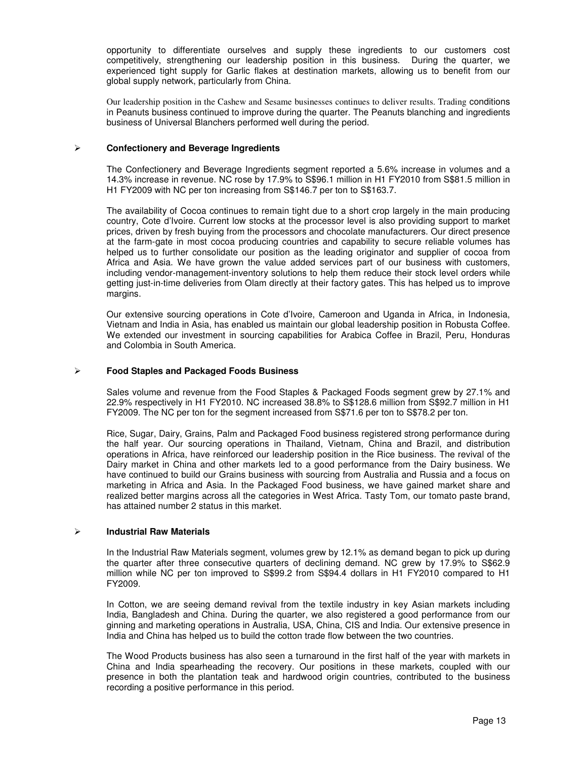opportunity to differentiate ourselves and supply these ingredients to our customers cost competitively, strengthening our leadership position in this business. During the quarter, we experienced tight supply for Garlic flakes at destination markets, allowing us to benefit from our global supply network, particularly from China.

Our leadership position in the Cashew and Sesame businesses continues to deliver results. Trading conditions in Peanuts business continued to improve during the quarter. The Peanuts blanching and ingredients business of Universal Blanchers performed well during the period.

## **Confectionery and Beverage Ingredients**

The Confectionery and Beverage Ingredients segment reported a 5.6% increase in volumes and a 14.3% increase in revenue. NC rose by 17.9% to S\$96.1 million in H1 FY2010 from S\$81.5 million in H1 FY2009 with NC per ton increasing from S\$146.7 per ton to S\$163.7.

The availability of Cocoa continues to remain tight due to a short crop largely in the main producing country, Cote d'Ivoire. Current low stocks at the processor level is also providing support to market prices, driven by fresh buying from the processors and chocolate manufacturers. Our direct presence at the farm-gate in most cocoa producing countries and capability to secure reliable volumes has helped us to further consolidate our position as the leading originator and supplier of cocoa from Africa and Asia. We have grown the value added services part of our business with customers, including vendor-management-inventory solutions to help them reduce their stock level orders while getting just-in-time deliveries from Olam directly at their factory gates. This has helped us to improve margins.

Our extensive sourcing operations in Cote d'Ivoire, Cameroon and Uganda in Africa, in Indonesia, Vietnam and India in Asia, has enabled us maintain our global leadership position in Robusta Coffee. We extended our investment in sourcing capabilities for Arabica Coffee in Brazil, Peru, Honduras and Colombia in South America.

#### **Food Staples and Packaged Foods Business**

Sales volume and revenue from the Food Staples & Packaged Foods segment grew by 27.1% and 22.9% respectively in H1 FY2010. NC increased 38.8% to S\$128.6 million from S\$92.7 million in H1 FY2009. The NC per ton for the segment increased from S\$71.6 per ton to S\$78.2 per ton.

Rice, Sugar, Dairy, Grains, Palm and Packaged Food business registered strong performance during the half year. Our sourcing operations in Thailand, Vietnam, China and Brazil, and distribution operations in Africa, have reinforced our leadership position in the Rice business. The revival of the Dairy market in China and other markets led to a good performance from the Dairy business. We have continued to build our Grains business with sourcing from Australia and Russia and a focus on marketing in Africa and Asia. In the Packaged Food business, we have gained market share and realized better margins across all the categories in West Africa. Tasty Tom, our tomato paste brand, has attained number 2 status in this market.

# **Industrial Raw Materials**

In the Industrial Raw Materials segment, volumes grew by 12.1% as demand began to pick up during the quarter after three consecutive quarters of declining demand. NC grew by 17.9% to S\$62.9 million while NC per ton improved to S\$99.2 from S\$94.4 dollars in H1 FY2010 compared to H1 FY2009.

In Cotton, we are seeing demand revival from the textile industry in key Asian markets including India, Bangladesh and China. During the quarter, we also registered a good performance from our ginning and marketing operations in Australia, USA, China, CIS and India. Our extensive presence in India and China has helped us to build the cotton trade flow between the two countries.

The Wood Products business has also seen a turnaround in the first half of the year with markets in China and India spearheading the recovery. Our positions in these markets, coupled with our presence in both the plantation teak and hardwood origin countries, contributed to the business recording a positive performance in this period.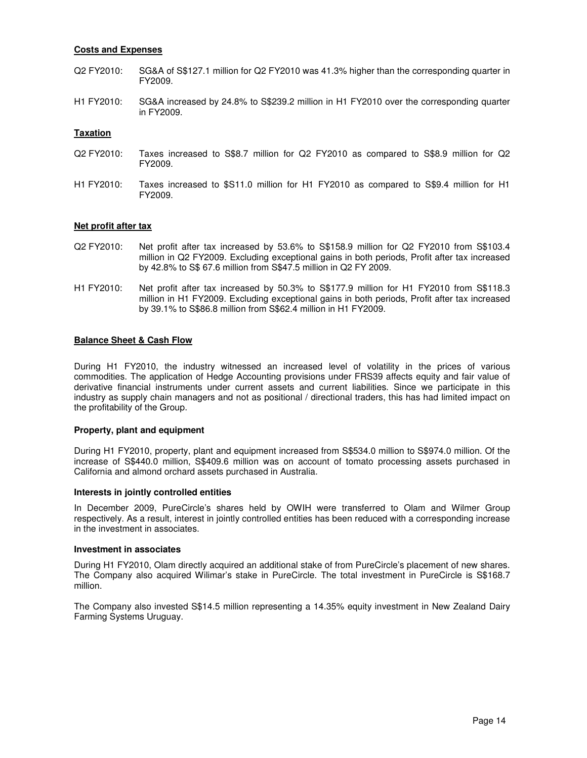#### **Costs and Expenses**

- Q2 FY2010: SG&A of S\$127.1 million for Q2 FY2010 was 41.3% higher than the corresponding quarter in FY2009.
- H1 FY2010: SG&A increased by 24.8% to S\$239.2 million in H1 FY2010 over the corresponding quarter in FY2009.

#### **Taxation**

- Q2 FY2010: Taxes increased to S\$8.7 million for Q2 FY2010 as compared to S\$8.9 million for Q2 FY2009.
- H1 FY2010: Taxes increased to \$S11.0 million for H1 FY2010 as compared to S\$9.4 million for H1 FY2009.

#### **Net profit after tax**

- Q2 FY2010: Net profit after tax increased by 53.6% to S\$158.9 million for Q2 FY2010 from S\$103.4 million in Q2 FY2009. Excluding exceptional gains in both periods, Profit after tax increased by 42.8% to S\$ 67.6 million from S\$47.5 million in Q2 FY 2009.
- H1 FY2010: Net profit after tax increased by 50.3% to S\$177.9 million for H1 FY2010 from S\$118.3 million in H1 FY2009. Excluding exceptional gains in both periods, Profit after tax increased by 39.1% to S\$86.8 million from S\$62.4 million in H1 FY2009.

#### **Balance Sheet & Cash Flow**

During H1 FY2010, the industry witnessed an increased level of volatility in the prices of various commodities. The application of Hedge Accounting provisions under FRS39 affects equity and fair value of derivative financial instruments under current assets and current liabilities. Since we participate in this industry as supply chain managers and not as positional / directional traders, this has had limited impact on the profitability of the Group.

#### **Property, plant and equipment**

During H1 FY2010, property, plant and equipment increased from S\$534.0 million to S\$974.0 million. Of the increase of S\$440.0 million, S\$409.6 million was on account of tomato processing assets purchased in California and almond orchard assets purchased in Australia.

#### **Interests in jointly controlled entities**

In December 2009, PureCircle's shares held by OWIH were transferred to Olam and Wilmer Group respectively. As a result, interest in jointly controlled entities has been reduced with a corresponding increase in the investment in associates.

#### **Investment in associates**

During H1 FY2010, Olam directly acquired an additional stake of from PureCircle's placement of new shares. The Company also acquired Wilimar's stake in PureCircle. The total investment in PureCircle is S\$168.7 million.

The Company also invested S\$14.5 million representing a 14.35% equity investment in New Zealand Dairy Farming Systems Uruguay.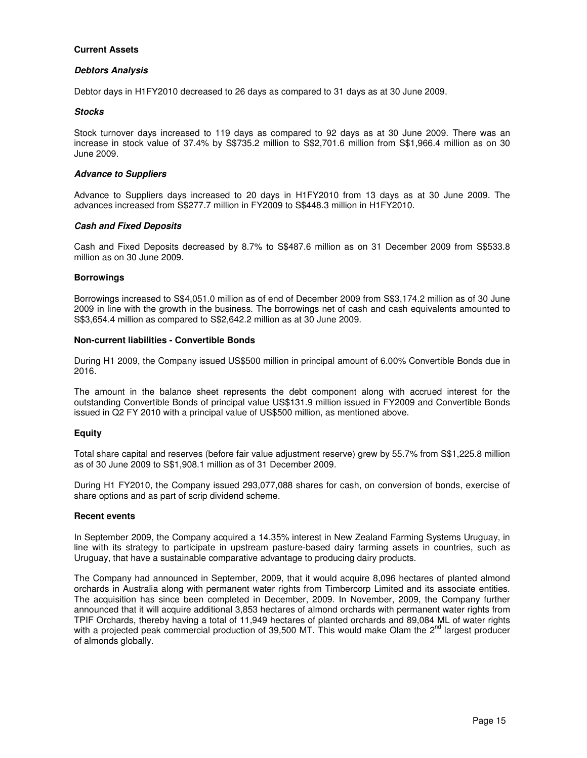### **Current Assets**

#### **Debtors Analysis**

Debtor days in H1FY2010 decreased to 26 days as compared to 31 days as at 30 June 2009.

## **Stocks**

Stock turnover days increased to 119 days as compared to 92 days as at 30 June 2009. There was an increase in stock value of 37.4% by S\$735.2 million to S\$2,701.6 million from S\$1,966.4 million as on 30 June 2009.

### **Advance to Suppliers**

Advance to Suppliers days increased to 20 days in H1FY2010 from 13 days as at 30 June 2009. The advances increased from S\$277.7 million in FY2009 to S\$448.3 million in H1FY2010.

## **Cash and Fixed Deposits**

Cash and Fixed Deposits decreased by 8.7% to S\$487.6 million as on 31 December 2009 from S\$533.8 million as on 30 June 2009.

## **Borrowings**

Borrowings increased to S\$4,051.0 million as of end of December 2009 from S\$3,174.2 million as of 30 June 2009 in line with the growth in the business. The borrowings net of cash and cash equivalents amounted to S\$3,654.4 million as compared to S\$2,642.2 million as at 30 June 2009.

## **Non-current liabilities - Convertible Bonds**

During H1 2009, the Company issued US\$500 million in principal amount of 6.00% Convertible Bonds due in 2016.

The amount in the balance sheet represents the debt component along with accrued interest for the outstanding Convertible Bonds of principal value US\$131.9 million issued in FY2009 and Convertible Bonds issued in Q2 FY 2010 with a principal value of US\$500 million, as mentioned above.

# **Equity**

Total share capital and reserves (before fair value adjustment reserve) grew by 55.7% from S\$1,225.8 million as of 30 June 2009 to S\$1,908.1 million as of 31 December 2009.

During H1 FY2010, the Company issued 293,077,088 shares for cash, on conversion of bonds, exercise of share options and as part of scrip dividend scheme.

#### **Recent events**

In September 2009, the Company acquired a 14.35% interest in New Zealand Farming Systems Uruguay, in line with its strategy to participate in upstream pasture-based dairy farming assets in countries, such as Uruguay, that have a sustainable comparative advantage to producing dairy products.

The Company had announced in September, 2009, that it would acquire 8,096 hectares of planted almond orchards in Australia along with permanent water rights from Timbercorp Limited and its associate entities. The acquisition has since been completed in December, 2009. In November, 2009, the Company further announced that it will acquire additional 3,853 hectares of almond orchards with permanent water rights from TPIF Orchards, thereby having a total of 11,949 hectares of planted orchards and 89,084 ML of water rights with a projected peak commercial production of 39,500 MT. This would make Olam the 2<sup>nd</sup> largest producer of almonds globally.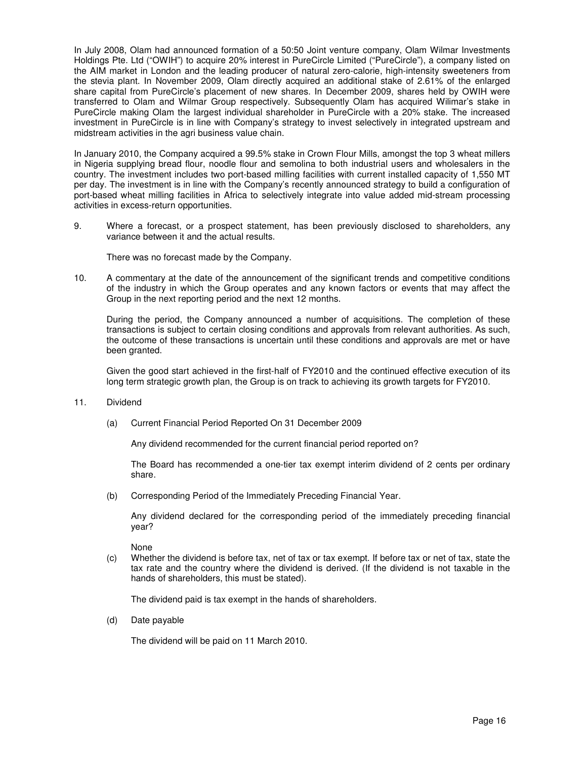In July 2008, Olam had announced formation of a 50:50 Joint venture company, Olam Wilmar Investments Holdings Pte. Ltd ("OWIH") to acquire 20% interest in PureCircle Limited ("PureCircle"), a company listed on the AIM market in London and the leading producer of natural zero-calorie, high-intensity sweeteners from the stevia plant. In November 2009, Olam directly acquired an additional stake of 2.61% of the enlarged share capital from PureCircle's placement of new shares. In December 2009, shares held by OWIH were transferred to Olam and Wilmar Group respectively. Subsequently Olam has acquired Wilimar's stake in PureCircle making Olam the largest individual shareholder in PureCircle with a 20% stake. The increased investment in PureCircle is in line with Company's strategy to invest selectively in integrated upstream and midstream activities in the agri business value chain.

In January 2010, the Company acquired a 99.5% stake in Crown Flour Mills, amongst the top 3 wheat millers in Nigeria supplying bread flour, noodle flour and semolina to both industrial users and wholesalers in the country. The investment includes two port-based milling facilities with current installed capacity of 1,550 MT per day. The investment is in line with the Company's recently announced strategy to build a configuration of port-based wheat milling facilities in Africa to selectively integrate into value added mid-stream processing activities in excess-return opportunities.

9. Where a forecast, or a prospect statement, has been previously disclosed to shareholders, any variance between it and the actual results.

There was no forecast made by the Company.

10. A commentary at the date of the announcement of the significant trends and competitive conditions of the industry in which the Group operates and any known factors or events that may affect the Group in the next reporting period and the next 12 months.

During the period, the Company announced a number of acquisitions. The completion of these transactions is subject to certain closing conditions and approvals from relevant authorities. As such, the outcome of these transactions is uncertain until these conditions and approvals are met or have been granted.

Given the good start achieved in the first-half of FY2010 and the continued effective execution of its long term strategic growth plan, the Group is on track to achieving its growth targets for FY2010.

#### 11. Dividend

(a) Current Financial Period Reported On 31 December 2009

Any dividend recommended for the current financial period reported on?

The Board has recommended a one-tier tax exempt interim dividend of 2 cents per ordinary share.

(b) Corresponding Period of the Immediately Preceding Financial Year.

Any dividend declared for the corresponding period of the immediately preceding financial year?

None

(c) Whether the dividend is before tax, net of tax or tax exempt. If before tax or net of tax, state the tax rate and the country where the dividend is derived. (If the dividend is not taxable in the hands of shareholders, this must be stated).

The dividend paid is tax exempt in the hands of shareholders.

(d) Date payable

The dividend will be paid on 11 March 2010.